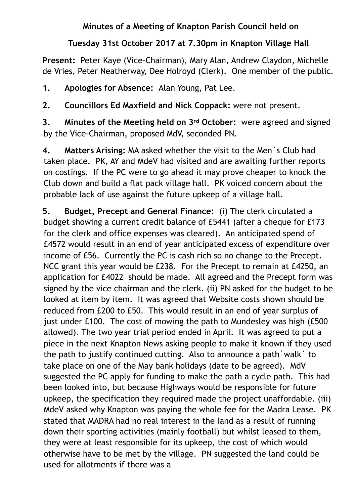## **Minutes of a Meeting of Knapton Parish Council held on**

## **Tuesday 31st October 2017 at 7.30pm in Knapton Village Hall**

**Present:** Peter Kaye (Vice-Chairman), Mary Alan, Andrew Claydon, Michelle de Vries, Peter Neatherway, Dee Holroyd (Clerk). One member of the public.

**1. Apologies for Absence:** Alan Young, Pat Lee.

**2. Councillors Ed Maxfield and Nick Coppack:** were not present.

**3. Minutes of the Meeting held on 3rd October:** were agreed and signed by the Vice-Chairman, proposed MdV, seconded PN.

**4. Matters Arising:** MA asked whether the visit to the Men`s Club had taken place. PK, AY and MdeV had visited and are awaiting further reports on costings. If the PC were to go ahead it may prove cheaper to knock the Club down and build a flat pack village hall. PK voiced concern about the probable lack of use against the future upkeep of a village hall.

**5. Budget, Precept and General Finance:** (i) The clerk circulated a budget showing a current credit balance of £5441 (after a cheque for £173 for the clerk and office expenses was cleared). An anticipated spend of £4572 would result in an end of year anticipated excess of expenditure over income of £56. Currently the PC is cash rich so no change to the Precept. NCC grant this year would be £238. For the Precept to remain at £4250, an application for £4022 should be made. All agreed and the Precept form was signed by the vice chairman and the clerk. (ii) PN asked for the budget to be looked at item by item. It was agreed that Website costs shown should be reduced from £200 to £50. This would result in an end of year surplus of just under £100. The cost of mowing the path to Mundesley was high (£500 allowed). The two year trial period ended in April. It was agreed to put a piece in the next Knapton News asking people to make it known if they used the path to justify continued cutting. Also to announce a path`walk` to take place on one of the May bank holidays (date to be agreed). MdV suggested the PC apply for funding to make the path a cycle path. This had been looked into, but because Highways would be responsible for future upkeep, the specification they required made the project unaffordable. (iii) MdeV asked why Knapton was paying the whole fee for the Madra Lease. PK stated that MADRA had no real interest in the land as a result of running down their sporting activities (mainly football) but whilst leased to them, they were at least responsible for its upkeep, the cost of which would otherwise have to be met by the village. PN suggested the land could be used for allotments if there was a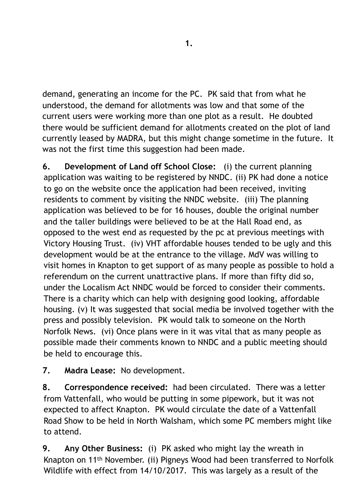demand, generating an income for the PC. PK said that from what he understood, the demand for allotments was low and that some of the current users were working more than one plot as a result. He doubted there would be sufficient demand for allotments created on the plot of land currently leased by MADRA, but this might change sometime in the future. It was not the first time this suggestion had been made.

**6. Development of Land off School Close:** (i) the current planning application was waiting to be registered by NNDC. (ii) PK had done a notice to go on the website once the application had been received, inviting residents to comment by visiting the NNDC website. (iii) The planning application was believed to be for 16 houses, double the original number and the taller buildings were believed to be at the Hall Road end, as opposed to the west end as requested by the pc at previous meetings with Victory Housing Trust. (iv) VHT affordable houses tended to be ugly and this development would be at the entrance to the village. MdV was willing to visit homes in Knapton to get support of as many people as possible to hold a referendum on the current unattractive plans. If more than fifty did so, under the Localism Act NNDC would be forced to consider their comments. There is a charity which can help with designing good looking, affordable housing. (v) It was suggested that social media be involved together with the press and possibly television. PK would talk to someone on the North Norfolk News. (vi) Once plans were in it was vital that as many people as possible made their comments known to NNDC and a public meeting should be held to encourage this.

**7. Madra Lease:** No development.

**8. Correspondence received:** had been circulated. There was a letter from Vattenfall, who would be putting in some pipework, but it was not expected to affect Knapton. PK would circulate the date of a Vattenfall Road Show to be held in North Walsham, which some PC members might like to attend.

**9. Any Other Business:** (i) PK asked who might lay the wreath in Knapton on 11th November. (ii) Pigneys Wood had been transferred to Norfolk Wildlife with effect from 14/10/2017. This was largely as a result of the